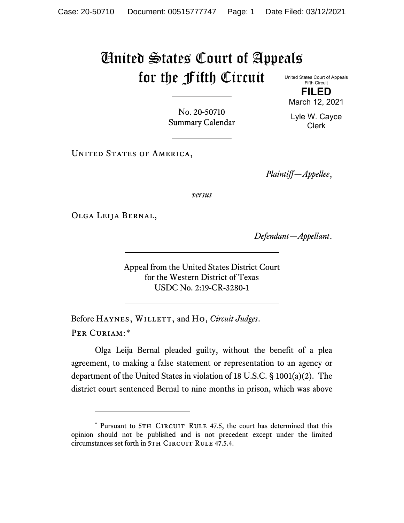## United States Court of Appeals for the Fifth Circuit

United States Court of Appeals Fifth Circuit **FILED**

March 12, 2021

Lyle W. Cayce Clerk

No. 20-50710 Summary Calendar

UNITED STATES OF AMERICA,

*Plaintiff—Appellee*,

*versus*

Olga Leija Bernal,

*Defendant—Appellant*.

Appeal from the United States District Court for the Western District of Texas USDC No. 2:19-CR-3280-1

Before HAYNES, WILLETT, and Ho, *Circuit Judges*. Per Curiam:[\\*](#page-0-0)

Olga Leija Bernal pleaded guilty, without the benefit of a plea agreement, to making a false statement or representation to an agency or department of the United States in violation of 18 U.S.C. § 1001(a)(2). The district court sentenced Bernal to nine months in prison, which was above

<span id="page-0-0"></span><sup>\*</sup> Pursuant to 5TH CIRCUIT RULE 47.5, the court has determined that this opinion should not be published and is not precedent except under the limited circumstances set forth in 5TH CIRCUIT RULE 47.5.4.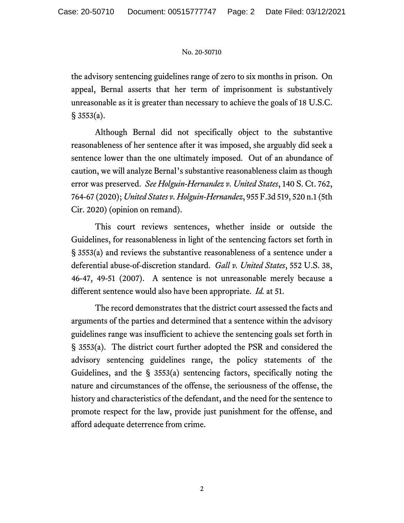## No. 20-50710

the advisory sentencing guidelines range of zero to six months in prison. On appeal, Bernal asserts that her term of imprisonment is substantively unreasonable as it is greater than necessary to achieve the goals of 18 U.S.C.  $§ 3553(a).$ 

Although Bernal did not specifically object to the substantive reasonableness of her sentence after it was imposed, she arguably did seek a sentence lower than the one ultimately imposed. Out of an abundance of caution, we will analyze Bernal's substantive reasonableness claim as though error was preserved. *See Holguin-Hernandez v. United States*, 140 S. Ct. 762, 764-67 (2020); *United States v. Holguin-Hernandez*, 955 F.3d 519, 520 n.1 (5th Cir. 2020) (opinion on remand).

This court reviews sentences, whether inside or outside the Guidelines, for reasonableness in light of the sentencing factors set forth in § 3553(a) and reviews the substantive reasonableness of a sentence under a deferential abuse-of-discretion standard. *Gall v. United States*, 552 U.S. 38, 46-47, 49-51 (2007). A sentence is not unreasonable merely because a different sentence would also have been appropriate. *Id.* at 51.

The record demonstrates that the district court assessed the facts and arguments of the parties and determined that a sentence within the advisory guidelines range was insufficient to achieve the sentencing goals set forth in § 3553(a). The district court further adopted the PSR and considered the advisory sentencing guidelines range, the policy statements of the Guidelines, and the § 3553(a) sentencing factors, specifically noting the nature and circumstances of the offense, the seriousness of the offense, the history and characteristics of the defendant, and the need for the sentence to promote respect for the law, provide just punishment for the offense, and afford adequate deterrence from crime.